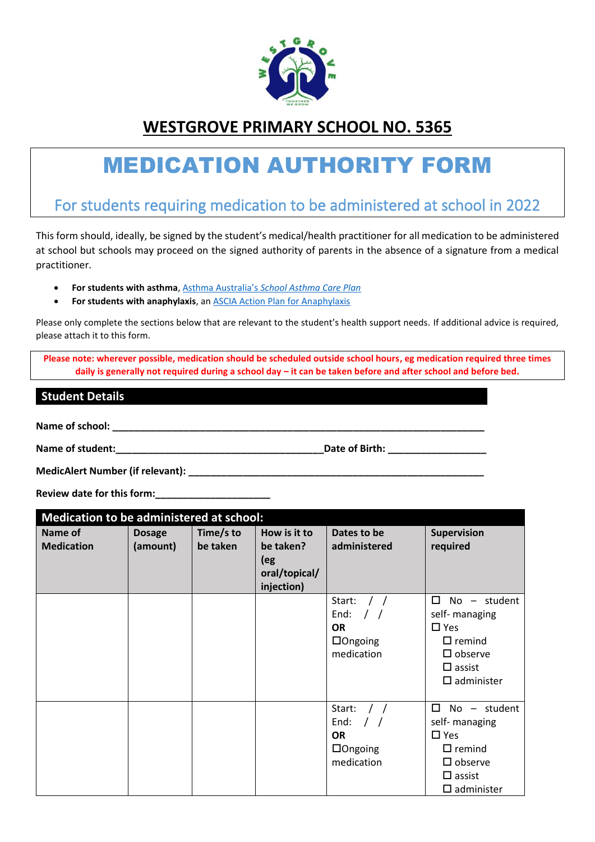

# **WESTGROVE PRIMARY SCHOOL NO. 5365**

# MEDICATION AUTHORITY FORM

# For students requiring medication to be administered at school in 2022

This form should, ideally, be signed by the student's medical/health practitioner for all medication to be administered at school but schools may proceed on the signed authority of parents in the absence of a signature from a medical practitioner.

- **For students with asthma**, Asthma Australia's *[School Asthma Care Plan](https://www.asthmaaustralia.org.au/vic/about-asthma/resources)*
- **For students with anaphylaxis**, a[n ASCIA Action Plan for Anaphylaxis](https://allergy.org.au/health-professionals/ascia-plans-action-and-treatment)

Please only complete the sections below that are relevant to the student's health support needs. If additional advice is required, please attach it to this form.

**Please note: wherever possible, medication should be scheduled outside school hours, eg medication required three times daily is generally not required during a school day – it can be taken before and after school and before bed.**

# **Student Details**

Name of school: **We also see also see also see also see also see also see also see also see also see also see a** 

**Name of student:**  $\qquad \qquad$  **Name of student:**  $\qquad \qquad$  **Date of Birth:**  $\qquad \qquad$ 

**MedicAlert Number (if relevant): \_\_\_\_\_\_\_\_\_\_\_\_\_\_\_\_\_\_\_\_\_\_\_\_\_\_\_\_\_\_\_\_\_\_\_\_\_\_\_\_\_\_\_\_\_\_\_\_\_\_\_\_\_\_**

**Review date for this form:\_\_\_\_\_\_\_\_\_\_\_\_\_\_\_\_\_\_\_\_\_**

| Medication to be administered at school: |                           |                       |                                                                 |                                                                                  |                                                                                                                                               |  |  |
|------------------------------------------|---------------------------|-----------------------|-----------------------------------------------------------------|----------------------------------------------------------------------------------|-----------------------------------------------------------------------------------------------------------------------------------------------|--|--|
| Name of<br><b>Medication</b>             | <b>Dosage</b><br>(amount) | Time/s to<br>be taken | How is it to<br>be taken?<br>(eg<br>oral/topical/<br>injection) | Dates to be<br>administered                                                      | <b>Supervision</b><br>required                                                                                                                |  |  |
|                                          |                           |                       |                                                                 | Start:<br>End:<br>$\prime$ $\prime$<br><b>OR</b><br>$\Box$ Ongoing<br>medication | $\Box$<br>$No -$<br>student<br>self- managing<br>$\square$ Yes<br>$\Box$ remind<br>$\square$ observe<br>$\Box$ assist<br>$\square$ administer |  |  |
|                                          |                           |                       |                                                                 | Start:<br>End:<br><b>OR</b><br>$\Box$ Ongoing<br>medication                      | □<br>No - student<br>self- managing<br>$\square$ Yes<br>$\Box$ remind<br>$\square$ observe<br>$\square$ assist<br>$\square$ administer        |  |  |